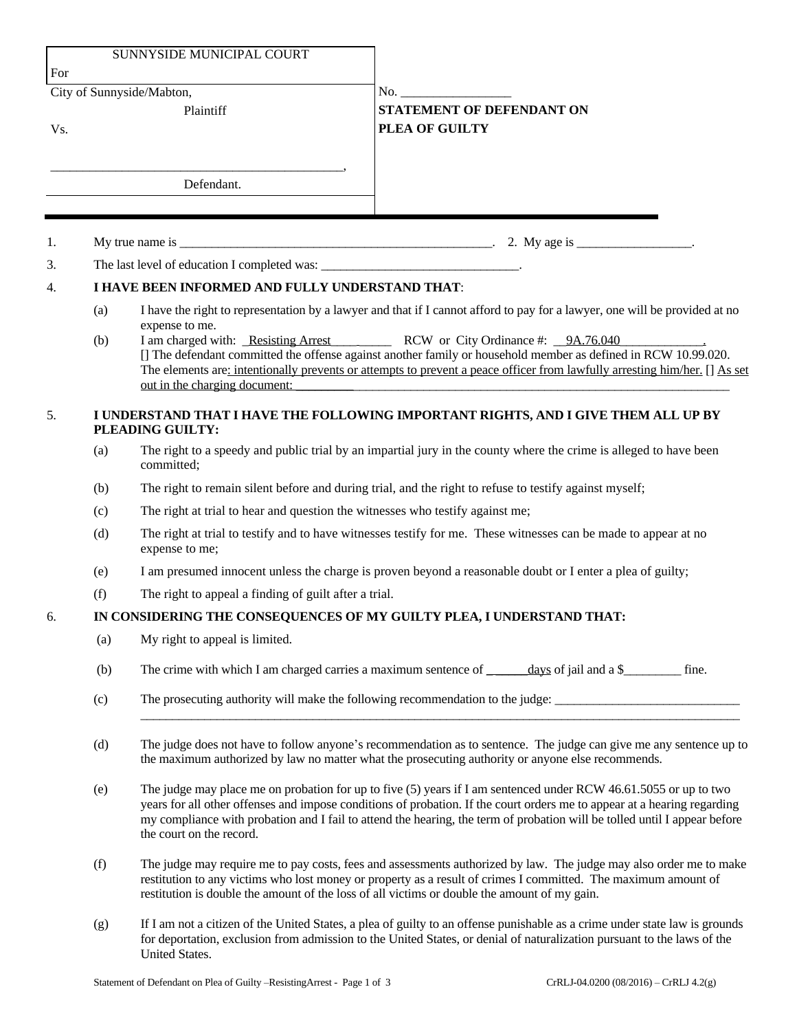|     |                                                                                    | SUNNYSIDE MUNICIPAL COURT                                                                                                                                                                                                                                                                                                                                                                               |                                                                                                                                                        |  |
|-----|------------------------------------------------------------------------------------|---------------------------------------------------------------------------------------------------------------------------------------------------------------------------------------------------------------------------------------------------------------------------------------------------------------------------------------------------------------------------------------------------------|--------------------------------------------------------------------------------------------------------------------------------------------------------|--|
| For |                                                                                    |                                                                                                                                                                                                                                                                                                                                                                                                         |                                                                                                                                                        |  |
|     |                                                                                    | City of Sunnyside/Mabton,                                                                                                                                                                                                                                                                                                                                                                               |                                                                                                                                                        |  |
| Vs. |                                                                                    | Plaintiff                                                                                                                                                                                                                                                                                                                                                                                               | <b>STATEMENT OF DEFENDANT ON</b><br>PLEA OF GUILTY                                                                                                     |  |
|     |                                                                                    |                                                                                                                                                                                                                                                                                                                                                                                                         |                                                                                                                                                        |  |
|     |                                                                                    |                                                                                                                                                                                                                                                                                                                                                                                                         |                                                                                                                                                        |  |
|     |                                                                                    | Defendant.                                                                                                                                                                                                                                                                                                                                                                                              |                                                                                                                                                        |  |
|     |                                                                                    |                                                                                                                                                                                                                                                                                                                                                                                                         |                                                                                                                                                        |  |
| 1.  |                                                                                    |                                                                                                                                                                                                                                                                                                                                                                                                         | My true name is $\frac{1}{\sqrt{1-\frac{1}{2}}}\left(1-\frac{1}{2}\right)$ . 2. My age is $\frac{1}{\sqrt{1-\frac{1}{2}}}\left(1-\frac{1}{2}\right)$ . |  |
| 3.  |                                                                                    | The last level of education I completed was: ___________________________________.                                                                                                                                                                                                                                                                                                                       |                                                                                                                                                        |  |
| 4.  | I HAVE BEEN INFORMED AND FULLY UNDERSTAND THAT:                                    |                                                                                                                                                                                                                                                                                                                                                                                                         |                                                                                                                                                        |  |
|     | (a)                                                                                |                                                                                                                                                                                                                                                                                                                                                                                                         | I have the right to representation by a lawyer and that if I cannot afford to pay for a lawyer, one will be provided at no                             |  |
|     | (b)                                                                                | expense to me.                                                                                                                                                                                                                                                                                                                                                                                          | I am charged with: Resisting Arrest RCW or City Ordinance #: 9A.76.040                                                                                 |  |
|     |                                                                                    | [] The defendant committed the offense against another family or household member as defined in RCW 10.99.020.<br>The elements are: intentionally prevents or attempts to prevent a peace officer from lawfully arresting him/her. [] As set                                                                                                                                                            |                                                                                                                                                        |  |
|     |                                                                                    |                                                                                                                                                                                                                                                                                                                                                                                                         | out in the charging document:                                                                                                                          |  |
| 5.  | I UNDERSTAND THAT I HAVE THE FOLLOWING IMPORTANT RIGHTS, AND I GIVE THEM ALL UP BY |                                                                                                                                                                                                                                                                                                                                                                                                         |                                                                                                                                                        |  |
|     |                                                                                    | PLEADING GUILTY:                                                                                                                                                                                                                                                                                                                                                                                        |                                                                                                                                                        |  |
|     | (a)                                                                                | The right to a speedy and public trial by an impartial jury in the county where the crime is alleged to have been<br>committed;                                                                                                                                                                                                                                                                         |                                                                                                                                                        |  |
|     | (b)                                                                                | The right to remain silent before and during trial, and the right to refuse to testify against myself;                                                                                                                                                                                                                                                                                                  |                                                                                                                                                        |  |
|     | (c)                                                                                | The right at trial to hear and question the witnesses who testify against me;                                                                                                                                                                                                                                                                                                                           |                                                                                                                                                        |  |
|     | (d)                                                                                | The right at trial to testify and to have witnesses testify for me. These witnesses can be made to appear at no<br>expense to me;                                                                                                                                                                                                                                                                       |                                                                                                                                                        |  |
|     | (e)                                                                                | I am presumed innocent unless the charge is proven beyond a reasonable doubt or I enter a plea of guilty;                                                                                                                                                                                                                                                                                               |                                                                                                                                                        |  |
|     | (f)                                                                                | The right to appeal a finding of guilt after a trial.                                                                                                                                                                                                                                                                                                                                                   |                                                                                                                                                        |  |
| 6.  | IN CONSIDERING THE CONSEQUENCES OF MY GUILTY PLEA, I UNDERSTAND THAT:              |                                                                                                                                                                                                                                                                                                                                                                                                         |                                                                                                                                                        |  |
|     | (a)                                                                                | My right to appeal is limited.                                                                                                                                                                                                                                                                                                                                                                          |                                                                                                                                                        |  |
|     | (b)                                                                                |                                                                                                                                                                                                                                                                                                                                                                                                         |                                                                                                                                                        |  |
|     | (c)                                                                                | The prosecuting authority will make the following recommendation to the judge:                                                                                                                                                                                                                                                                                                                          |                                                                                                                                                        |  |
|     | (d)                                                                                | The judge does not have to follow anyone's recommendation as to sentence. The judge can give me any sentence up to<br>the maximum authorized by law no matter what the prosecuting authority or anyone else recommends.                                                                                                                                                                                 |                                                                                                                                                        |  |
|     | (e)                                                                                | The judge may place me on probation for up to five $(5)$ years if I am sentenced under RCW 46.61.5055 or up to two<br>years for all other offenses and impose conditions of probation. If the court orders me to appear at a hearing regarding<br>my compliance with probation and I fail to attend the hearing, the term of probation will be tolled until I appear before<br>the court on the record. |                                                                                                                                                        |  |
|     | (f)                                                                                | The judge may require me to pay costs, fees and assessments authorized by law. The judge may also order me to make<br>restitution to any victims who lost money or property as a result of crimes I committed. The maximum amount of<br>restitution is double the amount of the loss of all victims or double the amount of my gain.                                                                    |                                                                                                                                                        |  |
|     | (g)                                                                                | If I am not a citizen of the United States, a plea of guilty to an offense punishable as a crime under state law is grounds<br>for deportation, exclusion from admission to the United States, or denial of naturalization pursuant to the laws of the<br>United States.                                                                                                                                |                                                                                                                                                        |  |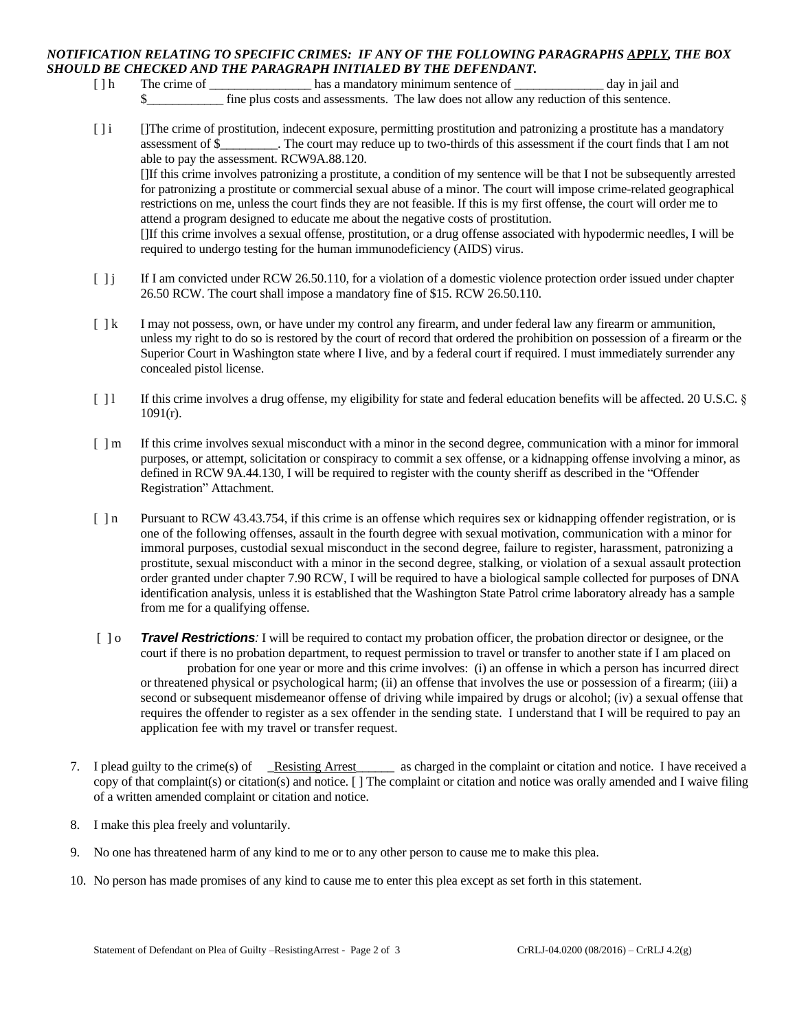## *NOTIFICATION RELATING TO SPECIFIC CRIMES: IF ANY OF THE FOLLOWING PARAGRAPHS APPLY, THE BOX SHOULD BE CHECKED AND THE PARAGRAPH INITIALED BY THE DEFENDANT.*

- [ ] h The crime of \_\_\_\_\_\_\_\_\_\_\_\_\_\_\_\_\_\_\_\_\_ has a mandatory minimum sentence of \_\_\_\_\_\_\_\_\_\_\_\_\_\_\_ day in jail and \$\_\_\_\_\_\_\_\_\_\_\_\_ fine plus costs and assessments. The law does not allow any reduction of this sentence.
- [ ] i []The crime of prostitution, indecent exposure, permitting prostitution and patronizing a prostitute has a mandatory assessment of \$\_\_\_\_\_\_\_\_\_. The court may reduce up to two-thirds of this assessment if the court finds that I am not able to pay the assessment. RCW9A.88.120.

[]If this crime involves patronizing a prostitute, a condition of my sentence will be that I not be subsequently arrested for patronizing a prostitute or commercial sexual abuse of a minor. The court will impose crime-related geographical restrictions on me, unless the court finds they are not feasible. If this is my first offense, the court will order me to attend a program designed to educate me about the negative costs of prostitution.

[]If this crime involves a sexual offense, prostitution, or a drug offense associated with hypodermic needles, I will be required to undergo testing for the human immunodeficiency (AIDS) virus.

- [ ] j If I am convicted under RCW 26.50.110, for a violation of a domestic violence protection order issued under chapter 26.50 RCW. The court shall impose a mandatory fine of \$15. RCW 26.50.110.
- [ ] k I may not possess, own, or have under my control any firearm, and under federal law any firearm or ammunition, unless my right to do so is restored by the court of record that ordered the prohibition on possession of a firearm or the Superior Court in Washington state where I live, and by a federal court if required. I must immediately surrender any concealed pistol license.
- [ ] l If this crime involves a drug offense, my eligibility for state and federal education benefits will be affected. 20 U.S.C. §  $1091(r)$ .
- [ ] m If this crime involves sexual misconduct with a minor in the second degree, communication with a minor for immoral purposes, or attempt, solicitation or conspiracy to commit a sex offense, or a kidnapping offense involving a minor, as defined in RCW 9A.44.130, I will be required to register with the county sheriff as described in the "Offender Registration" Attachment.
- [ ] n Pursuant to RCW 43.43.754, if this crime is an offense which requires sex or kidnapping offender registration, or is one of the following offenses, assault in the fourth degree with sexual motivation, communication with a minor for immoral purposes, custodial sexual misconduct in the second degree, failure to register, harassment, patronizing a prostitute, sexual misconduct with a minor in the second degree, stalking, or violation of a sexual assault protection order granted under chapter 7.90 RCW, I will be required to have a biological sample collected for purposes of DNA identification analysis, unless it is established that the Washington State Patrol crime laboratory already has a sample from me for a qualifying offense.
- [ ] o *Travel Restrictions:* I will be required to contact my probation officer, the probation director or designee, or the court if there is no probation department, to request permission to travel or transfer to another state if I am placed on probation for one year or more and this crime involves: (i) an offense in which a person has incurred direct or threatened physical or psychological harm; (ii) an offense that involves the use or possession of a firearm; (iii) a second or subsequent misdemeanor offense of driving while impaired by drugs or alcohol; (iv) a sexual offense that requires the offender to register as a sex offender in the sending state. I understand that I will be required to pay an application fee with my travel or transfer request.
- 7. I plead guilty to the crime(s) of Resisting Arrest as charged in the complaint or citation and notice. I have received a copy of that complaint(s) or citation(s) and notice. [ ] The complaint or citation and notice was orally amended and I waive filing of a written amended complaint or citation and notice.
- 8. I make this plea freely and voluntarily.
- 9. No one has threatened harm of any kind to me or to any other person to cause me to make this plea.
- 10. No person has made promises of any kind to cause me to enter this plea except as set forth in this statement.